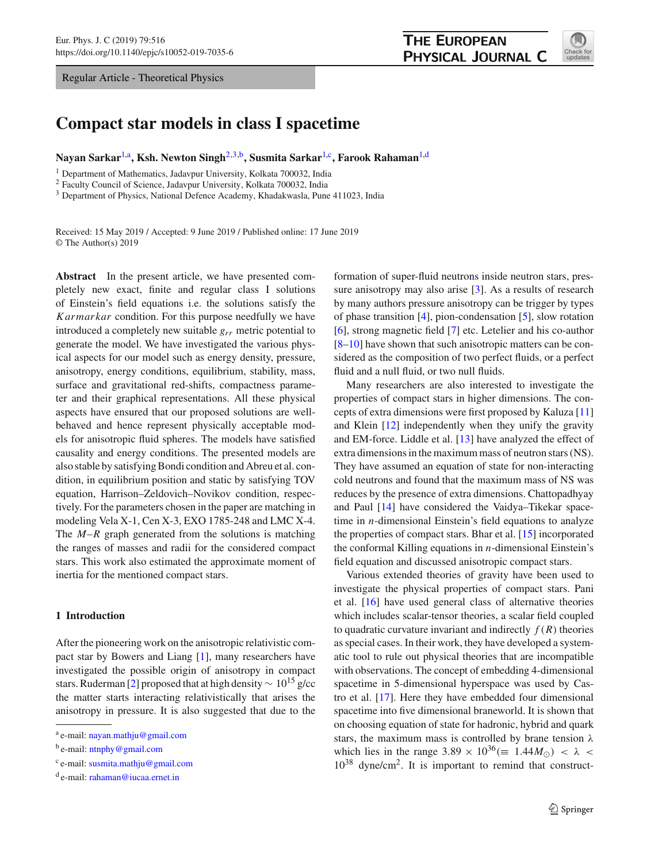Regular Article - Theoretical Physics



# **Compact star models in class I spacetime**

Nayan Sarkar<sup>[1,](#page-0-0)a</sup>, Ksh. Newton Singh<sup>[2](#page-0-0)[,3,](#page-0-1)b</sup>, Susmita Sarkar<sup>1,c</sup>, Farook Rahaman<sup>1,d</sup>

<sup>1</sup> Department of Mathematics, Jadavpur University, Kolkata 700032, India

<sup>2</sup> Faculty Council of Science, Jadavpur University, Kolkata 700032, India

<sup>3</sup> Department of Physics, National Defence Academy, Khadakwasla, Pune 411023, India

Received: 15 May 2019 / Accepted: 9 June 2019 / Published online: 17 June 2019 © The Author(s) 2019

**Abstract** In the present article, we have presented completely new exact, finite and regular class I solutions of Einstein's field equations i.e. the solutions satisfy the *Karmarkar* condition. For this purpose needfully we have introduced a completely new suitable *grr* metric potential to generate the model. We have investigated the various physical aspects for our model such as energy density, pressure, anisotropy, energy conditions, equilibrium, stability, mass, surface and gravitational red-shifts, compactness parameter and their graphical representations. All these physical aspects have ensured that our proposed solutions are wellbehaved and hence represent physically acceptable models for anisotropic fluid spheres. The models have satisfied causality and energy conditions. The presented models are also stable by satisfying Bondi condition and Abreu et al. condition, in equilibrium position and static by satisfying TOV equation, Harrison–Zeldovich–Novikov condition, respectively. For the parameters chosen in the paper are matching in modeling Vela X-1, Cen X-3, EXO 1785-248 and LMC X-4. The *M*–*R* graph generated from the solutions is matching the ranges of masses and radii for the considered compact stars. This work also estimated the approximate moment of inertia for the mentioned compact stars.

# **1 Introduction**

After the pioneering work on the anisotropic relativistic compact star by Bowers and Liang [\[1](#page-12-0)], many researchers have investigated the possible origin of anisotropy in compact stars. Ruderman [\[2\]](#page-12-1) proposed that at high density  $\sim 10^{15}$  g/cc the matter starts interacting relativistically that arises the anisotropy in pressure. It is also suggested that due to the

<span id="page-0-1"></span><span id="page-0-0"></span>formation of super-fluid neutrons inside neutron stars, pressure anisotropy may also arise [\[3](#page-12-2)]. As a results of research by many authors pressure anisotropy can be trigger by types of phase transition [\[4\]](#page-12-3), pion-condensation [\[5\]](#page-12-4), slow rotation [\[6](#page-12-5)], strong magnetic field [\[7](#page-12-6)] etc. Letelier and his co-author [\[8](#page-12-7)[–10](#page-12-8)] have shown that such anisotropic matters can be considered as the composition of two perfect fluids, or a perfect fluid and a null fluid, or two null fluids.

Many researchers are also interested to investigate the properties of compact stars in higher dimensions. The concepts of extra dimensions were first proposed by Kaluza [\[11\]](#page-12-9) and Klein [\[12](#page-12-10)] independently when they unify the gravity and EM-force. Liddle et al. [\[13](#page-12-11)] have analyzed the effect of extra dimensions in the maximum mass of neutron stars (NS). They have assumed an equation of state for non-interacting cold neutrons and found that the maximum mass of NS was reduces by the presence of extra dimensions. Chattopadhyay and Paul [\[14](#page-12-12)] have considered the Vaidya–Tikekar spacetime in *n*-dimensional Einstein's field equations to analyze the properties of compact stars. Bhar et al. [\[15](#page-12-13)] incorporated the conformal Killing equations in *n*-dimensional Einstein's field equation and discussed anisotropic compact stars.

Various extended theories of gravity have been used to investigate the physical properties of compact stars. Pani et al. [\[16\]](#page-12-14) have used general class of alternative theories which includes scalar-tensor theories, a scalar field coupled to quadratic curvature invariant and indirectly  $f(R)$  theories as special cases. In their work, they have developed a systematic tool to rule out physical theories that are incompatible with observations. The concept of embedding 4-dimensional spacetime in 5-dimensional hyperspace was used by Castro et al. [\[17](#page-12-15)]. Here they have embedded four dimensional spacetime into five dimensional braneworld. It is shown that on choosing equation of state for hadronic, hybrid and quark stars, the maximum mass is controlled by brane tension  $\lambda$ which lies in the range  $3.89 \times 10^{36} (\equiv 1.44 M_{\odot}) < \lambda$ 10<sup>38</sup> dyne/cm<sup>2</sup> . It is important to remind that construct-

a e-mail: [nayan.mathju@gmail.com](mailto:nayan.mathju@gmail.com)

<sup>&</sup>lt;sup>b</sup> e-mail: [ntnphy@gmail.com](mailto:ntnphy@gmail.com)

<sup>&</sup>lt;sup>c</sup> e-mail: [susmita.mathju@gmail.com](mailto:susmita.mathju@gmail.com)

<sup>&</sup>lt;sup>d</sup> e-mail: [rahaman@iucaa.ernet.in](mailto:rahaman@iucaa.ernet.in)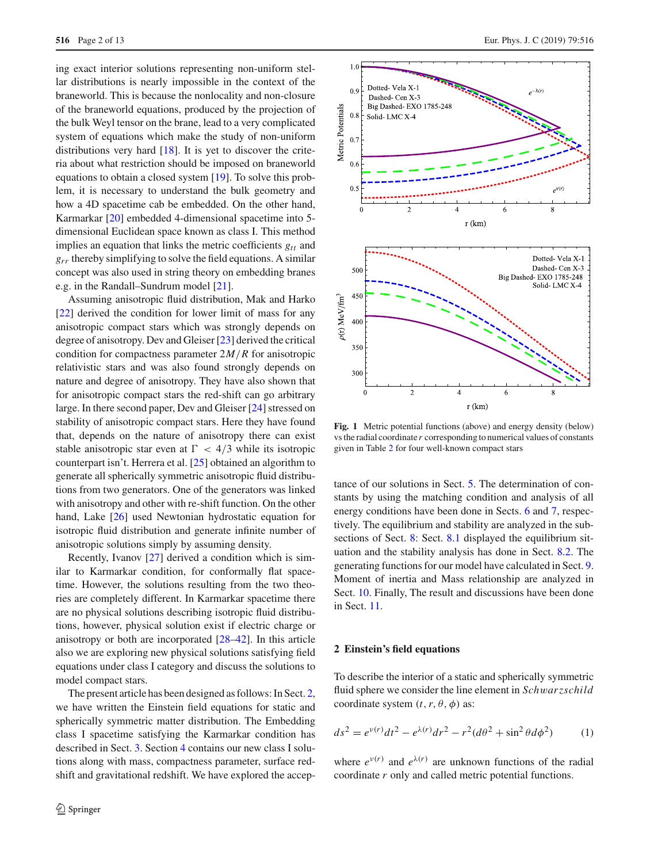ing exact interior solutions representing non-uniform stellar distributions is nearly impossible in the context of the braneworld. This is because the nonlocality and non-closure of the braneworld equations, produced by the projection of the bulk Weyl tensor on the brane, lead to a very complicated system of equations which make the study of non-uniform distributions very hard [\[18\]](#page-12-16). It is yet to discover the criteria about what restriction should be imposed on braneworld equations to obtain a closed system [\[19\]](#page-12-17). To solve this problem, it is necessary to understand the bulk geometry and how a 4D spacetime cab be embedded. On the other hand, Karmarkar [\[20](#page-12-18)] embedded 4-dimensional spacetime into 5 dimensional Euclidean space known as class I. This method implies an equation that links the metric coefficients *gtt* and  $g_{rr}$  thereby simplifying to solve the field equations. A similar concept was also used in string theory on embedding branes e.g. in the Randall–Sundrum model [\[21](#page-12-19)].

Assuming anisotropic fluid distribution, Mak and Harko [\[22](#page-12-20)] derived the condition for lower limit of mass for any anisotropic compact stars which was strongly depends on degree of anisotropy. Dev and Gleiser [\[23\]](#page-12-21) derived the critical condition for compactness parameter 2*M*/*R* for anisotropic relativistic stars and was also found strongly depends on nature and degree of anisotropy. They have also shown that for anisotropic compact stars the red-shift can go arbitrary large. In there second paper, Dev and Gleiser [\[24\]](#page-12-22) stressed on stability of anisotropic compact stars. Here they have found that, depends on the nature of anisotropy there can exist stable anisotropic star even at  $\Gamma < 4/3$  while its isotropic counterpart isn't. Herrera et al. [\[25](#page-12-23)] obtained an algorithm to generate all spherically symmetric anisotropic fluid distributions from two generators. One of the generators was linked with anisotropy and other with re-shift function. On the other hand, Lake [\[26\]](#page-12-24) used Newtonian hydrostatic equation for isotropic fluid distribution and generate infinite number of anisotropic solutions simply by assuming density.

Recently, Ivanov [\[27\]](#page-12-25) derived a condition which is similar to Karmarkar condition, for conformally flat spacetime. However, the solutions resulting from the two theories are completely different. In Karmarkar spacetime there are no physical solutions describing isotropic fluid distributions, however, physical solution exist if electric charge or anisotropy or both are incorporated [\[28](#page-12-26)[–42](#page-12-27)]. In this article also we are exploring new physical solutions satisfying field equations under class I category and discuss the solutions to model compact stars.

The present article has been designed as follows: In Sect. [2,](#page-1-0) we have written the Einstein field equations for static and spherically symmetric matter distribution. The Embedding class I spacetime satisfying the Karmarkar condition has described in Sect. [3.](#page-2-0) Section [4](#page-3-0) contains our new class I solutions along with mass, compactness parameter, surface redshift and gravitational redshift. We have explored the accep-



<span id="page-1-2"></span>**Fig. 1** Metric potential functions (above) and energy density (below) vs the radial coordinate *r* corresponding to numerical values of constants given in Table [2](#page-10-0) for four well-known compact stars

tance of our solutions in Sect. [5.](#page-5-0) The determination of constants by using the matching condition and analysis of all energy conditions have been done in Sects. [6](#page-6-0) and [7,](#page-6-1) respectively. The equilibrium and stability are analyzed in the sub-sections of Sect. [8:](#page-6-2) Sect. [8.1](#page-6-3) displayed the equilibrium situation and the stability analysis has done in Sect. [8.2.](#page-8-0) The generating functions for our model have calculated in Sect. [9.](#page-9-0) Moment of inertia and Mass relationship are analyzed in Sect. [10.](#page-9-1) Finally, The result and discussions have been done in Sect. [11.](#page-10-1)

#### <span id="page-1-0"></span>**2 Einstein's field equations**

<span id="page-1-1"></span>To describe the interior of a static and spherically symmetric fluid sphere we consider the line element in *Sch*w*arzschild* coordinate system  $(t, r, \theta, \phi)$  as:

$$
ds^{2} = e^{\nu(r)}dt^{2} - e^{\lambda(r)}dr^{2} - r^{2}(d\theta^{2} + \sin^{2}\theta d\phi^{2})
$$
 (1)

where  $e^{v(r)}$  and  $e^{\lambda(r)}$  are unknown functions of the radial coordinate *r* only and called metric potential functions.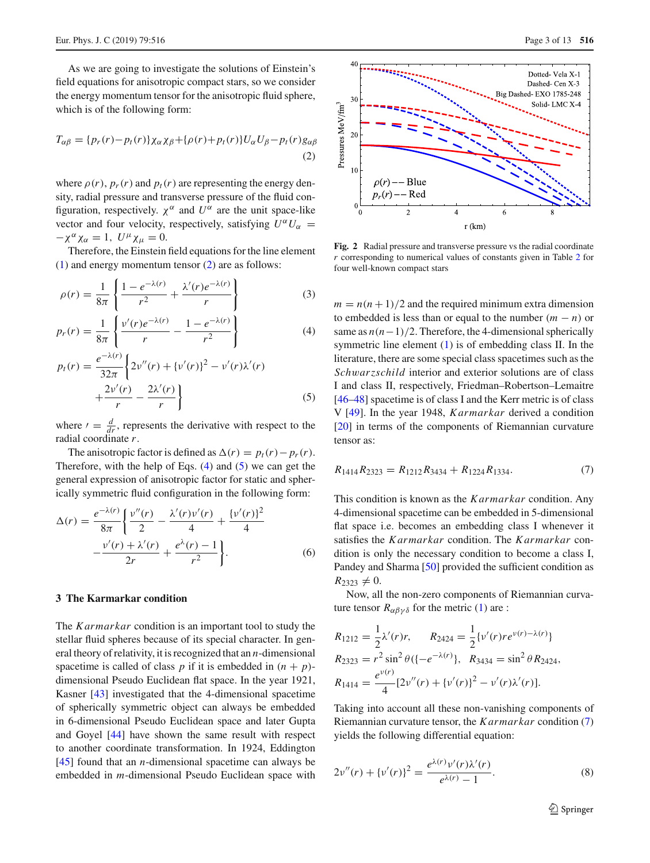<span id="page-2-1"></span>As we are going to investigate the solutions of Einstein's field equations for anisotropic compact stars, so we consider the energy momentum tensor for the anisotropic fluid sphere, which is of the following form:

$$
T_{\alpha\beta} = \{p_r(r) - p_t(r)\}\chi_\alpha\chi_\beta + \{\rho(r) + p_t(r)\}U_\alpha U_\beta - p_t(r)g_{\alpha\beta}
$$
\n(2)

where  $\rho(r)$ ,  $p_r(r)$  and  $p_t(r)$  are representing the energy density, radial pressure and transverse pressure of the fluid configuration, respectively.  $\chi^{\alpha}$  and  $U^{\alpha}$  are the unit space-like vector and four velocity, respectively, satisfying  $U^{\alpha}U_{\alpha}$  =  $-\chi^{\alpha} \chi_{\alpha} = 1$ ,  $U^{\mu} \chi_{\mu} = 0$ .

Therefore, the Einstein field equations for the line element [\(1\)](#page-1-1) and energy momentum tensor [\(2\)](#page-2-1) are as follows:

<span id="page-2-2"></span>
$$
\rho(r) = \frac{1}{8\pi} \left\{ \frac{1 - e^{-\lambda(r)}}{r^2} + \frac{\lambda'(r)e^{-\lambda(r)}}{r} \right\} \tag{3}
$$

$$
p_r(r) = \frac{1}{8\pi} \left\{ \frac{v'(r)e^{-\lambda(r)}}{r} - \frac{1 - e^{-\lambda(r)}}{r^2} \right\}
$$
 (4)

$$
p_t(r) = \frac{e^{-\lambda(r)}}{32\pi} \left\{ 2v''(r) + \{v'(r)\}^2 - v'(r)\lambda'(r) + \frac{2v'(r)}{r} - \frac{2\lambda'(r)}{r} \right\}
$$
(5)

where  $\ell = \frac{d}{dr}$ , represents the derivative with respect to the radial coordinate *r*.

The anisotropic factor is defined as  $\Delta(r) = p_t(r) - p_r(r)$ . Therefore, with the help of Eqs.  $(4)$  and  $(5)$  we can get the general expression of anisotropic factor for static and spherically symmetric fluid configuration in the following form:

<span id="page-2-5"></span>
$$
\Delta(r) = \frac{e^{-\lambda(r)}}{8\pi} \left\{ \frac{v''(r)}{2} - \frac{\lambda'(r)v'(r)}{4} + \frac{\{v'(r)\}^2}{4} - \frac{v'(r) + \lambda'(r)}{2r} + \frac{e^{\lambda}(r) - 1}{r^2} \right\}.
$$
 (6)

## <span id="page-2-0"></span>**3 The Karmarkar condition**

The *Karmarkar* condition is an important tool to study the stellar fluid spheres because of its special character. In general theory of relativity, it is recognized that an *n*-dimensional spacetime is called of class *p* if it is embedded in  $(n + p)$ dimensional Pseudo Euclidean flat space. In the year 1921, Kasner [\[43](#page-12-28)] investigated that the 4-dimensional spacetime of spherically symmetric object can always be embedded in 6-dimensional Pseudo Euclidean space and later Gupta and Goyel [\[44](#page-12-29)] have shown the same result with respect to another coordinate transformation. In 1924, Eddington [\[45](#page-12-30)] found that an *n*-dimensional spacetime can always be embedded in *m*-dimensional Pseudo Euclidean space with



<span id="page-2-6"></span>**Fig. 2** Radial pressure and transverse pressure vs the radial coordinate *r* corresponding to numerical values of constants given in Table [2](#page-10-0) for four well-known compact stars

 $m = n(n + 1)/2$  and the required minimum extra dimension to embedded is less than or equal to the number  $(m - n)$  or same as  $n(n-1)/2$ . Therefore, the 4-dimensional spherically symmetric line element [\(1\)](#page-1-1) is of embedding class II. In the literature, there are some special class spacetimes such as the *Sch*w*arzschild* interior and exterior solutions are of class I and class II, respectively, Friedman–Robertson–Lemaitre [\[46](#page-12-31)[–48](#page-12-32)] spacetime is of class I and the Kerr metric is of class V [\[49\]](#page-12-33). In the year 1948, *Karmarkar* derived a condition [\[20](#page-12-18)] in terms of the components of Riemannian curvature tensor as:

<span id="page-2-3"></span>
$$
R_{1414}R_{2323} = R_{1212}R_{3434} + R_{1224}R_{1334}.
$$
 (7)

This condition is known as the *Karmarkar* condition. Any 4-dimensional spacetime can be embedded in 5-dimensional flat space i.e. becomes an embedding class I whenever it satisfies the *Karmarkar* condition. The *Karmarkar* condition is only the necessary condition to become a class I, Pandey and Sharma [\[50\]](#page-12-34) provided the sufficient condition as  $R_{2323} \neq 0.$ 

Now, all the non-zero components of Riemannian curvature tensor  $R_{\alpha\beta\gamma\delta}$  for the metric [\(1\)](#page-1-1) are :

$$
R_{1212} = \frac{1}{2}\lambda'(r)r, \qquad R_{2424} = \frac{1}{2}\{v'(r)re^{v(r)-\lambda(r)}\}
$$
  
\n
$$
R_{2323} = r^2 \sin^2 \theta \{[-e^{-\lambda(r)}\}, \quad R_{3434} = \sin^2 \theta R_{2424},
$$
  
\n
$$
R_{1414} = \frac{e^{v(r)}}{4}[2v''(r) + \{v'(r)\}^2 - v'(r)\lambda'(r)].
$$

<span id="page-2-4"></span>Taking into account all these non-vanishing components of Riemannian curvature tensor, the *Karmarkar* condition [\(7\)](#page-2-3) yields the following differential equation:

$$
2\nu''(r) + {\{\nu'(r)\}}^2 = \frac{e^{\lambda(r)}\nu'(r)\lambda'(r)}{e^{\lambda(r)} - 1}.
$$
 (8)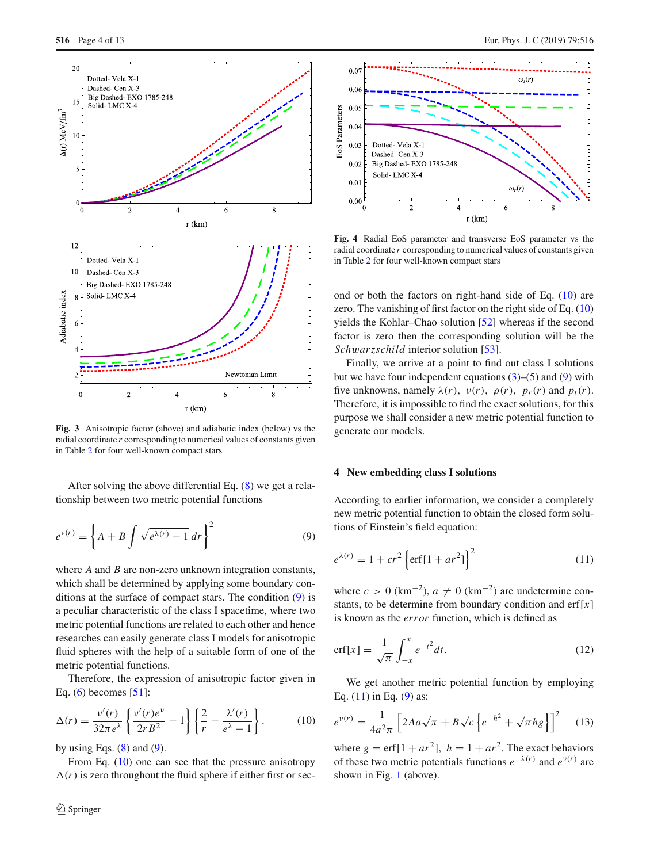

<span id="page-3-5"></span>**Fig. 3** Anisotropic factor (above) and adiabatic index (below) vs the radial coordinate *r* corresponding to numerical values of constants given in Table [2](#page-10-0) for four well-known compact stars

After solving the above differential Eq. [\(8\)](#page-2-4) we get a relationship between two metric potential functions

$$
e^{\nu(r)} = \left\{ A + B \int \sqrt{e^{\lambda(r)} - 1} \, dr \right\}^2 \tag{9}
$$

where *A* and *B* are non-zero unknown integration constants, which shall be determined by applying some boundary conditions at the surface of compact stars. The condition [\(9\)](#page-3-1) is a peculiar characteristic of the class I spacetime, where two metric potential functions are related to each other and hence researches can easily generate class I models for anisotropic fluid spheres with the help of a suitable form of one of the metric potential functions.

Therefore, the expression of anisotropic factor given in Eq.  $(6)$  becomes  $[51]$ :

<span id="page-3-2"></span>
$$
\Delta(r) = \frac{v'(r)}{32\pi e^{\lambda}} \left\{ \frac{v'(r)e^{\nu}}{2rB^2} - 1 \right\} \left\{ \frac{2}{r} - \frac{\lambda'(r)}{e^{\lambda} - 1} \right\}.
$$
 (10)

by using Eqs.  $(8)$  and  $(9)$ .

From Eq. [\(10\)](#page-3-2) one can see that the pressure anisotropy  $\Delta(r)$  is zero throughout the fluid sphere if either first or sec-



<span id="page-3-6"></span>**Fig. 4** Radial EoS parameter and transverse EoS parameter vs the radial coordinate *r* corresponding to numerical values of constants given in Table [2](#page-10-0) for four well-known compact stars

ond or both the factors on right-hand side of Eq. [\(10\)](#page-3-2) are zero. The vanishing of first factor on the right side of Eq. [\(10\)](#page-3-2) yields the Kohlar–Chao solution [\[52\]](#page-12-36) whereas if the second factor is zero then the corresponding solution will be the *Sch*w*arzschild* interior solution [\[53](#page-12-37)].

Finally, we arrive at a point to find out class I solutions but we have four independent equations  $(3)$ – $(5)$  and  $(9)$  with five unknowns, namely  $\lambda(r)$ ,  $\nu(r)$ ,  $\rho(r)$ ,  $p_r(r)$  and  $p_t(r)$ . Therefore, it is impossible to find the exact solutions, for this purpose we shall consider a new metric potential function to generate our models.

## <span id="page-3-1"></span><span id="page-3-0"></span>**4 New embedding class I solutions**

<span id="page-3-3"></span>According to earlier information, we consider a completely new metric potential function to obtain the closed form solutions of Einstein's field equation:

$$
e^{\lambda(r)} = 1 + cr^2 \left\{ erf[1 + ar^2] \right\}^2
$$
 (11)

where  $c > 0$  (km<sup>-2</sup>),  $a \neq 0$  (km<sup>-2</sup>) are undetermine constants, to be determine from boundary condition and  $erf[x]$ is known as the *error* function, which is defined as

$$
\text{erf}[x] = \frac{1}{\sqrt{\pi}} \int_{-x}^{x} e^{-t^2} dt. \tag{12}
$$

We get another metric potential function by employing Eq.  $(11)$  in Eq.  $(9)$  as:

<span id="page-3-4"></span>
$$
e^{\nu(r)} = \frac{1}{4a^2\pi} \left[ 2Aa\sqrt{\pi} + B\sqrt{c} \left\{ e^{-h^2} + \sqrt{\pi}hg \right\} \right]^2 \tag{13}
$$

where  $g = erf[1 + ar^2]$ ,  $h = 1 + ar^2$ . The exact behaviors of these two metric potentials functions  $e^{-\lambda(r)}$  and  $e^{\nu(r)}$  are shown in Fig. [1](#page-1-2) (above).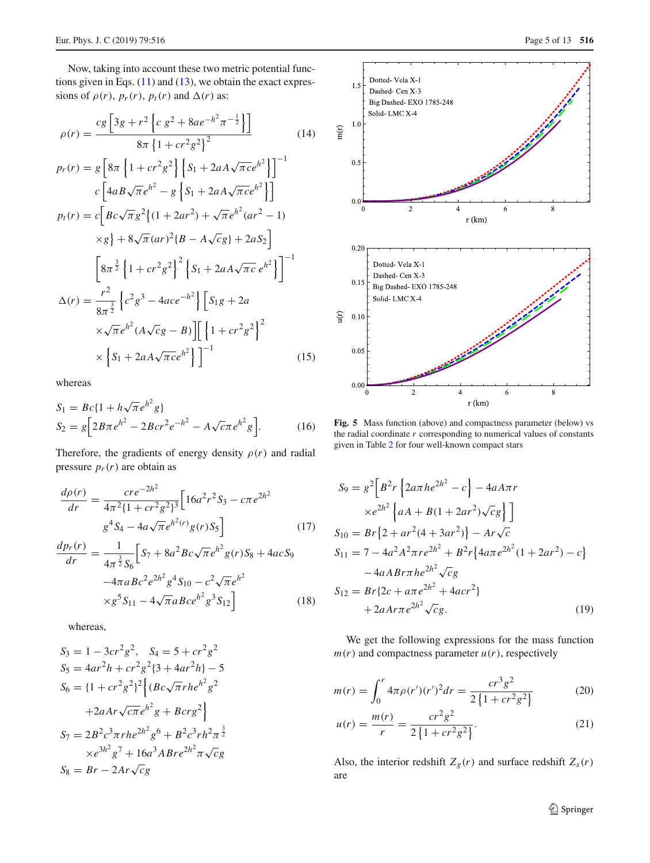Now, taking into account these two metric potential functions given in Eqs.  $(11)$  and  $(13)$ , we obtain the exact expressions of  $\rho(r)$ ,  $p_r(r)$ ,  $p_t(r)$  and  $\Delta(r)$  as:

<span id="page-4-3"></span>
$$
\rho(r) = \frac{cg \left[3g + r^2 \left(c g^2 + 8ae^{-h^2} \pi^{-\frac{1}{2}}\right)\right]}{8\pi \left\{1 + cr^2 g^2\right\}^2}
$$
(14)

$$
p_r(r) = g \left[ 8\pi \left\{ 1 + cr^2 g^2 \right\} \left\{ S_1 + 2aA\sqrt{\pi c} e^{h^2} \right\} \right]^{-1}
$$
  
\n
$$
c \left[ 4aB\sqrt{\pi} e^{h^2} - g \left\{ S_1 + 2aA\sqrt{\pi c} e^{h^2} \right\} \right]
$$
  
\n
$$
p_t(r) = c \left[ Bc\sqrt{\pi} g^2 \left\{ (1 + 2ar^2) + \sqrt{\pi} e^{h^2} (ar^2 - 1) \right\} \right]
$$
  
\n
$$
\times g \right\} + 8\sqrt{\pi} (ar)^2 \left\{ B - A\sqrt{c} g \right\} + 2aS_2 \right]
$$
  
\n
$$
\left[ 8\pi^{\frac{3}{2}} \left\{ 1 + cr^2 g^2 \right\}^2 \left\{ S_1 + 2aA\sqrt{\pi c} e^{h^2} \right\} \right]^{-1}
$$
  
\n
$$
\Delta(r) = \frac{r^2}{8\pi^{\frac{3}{2}}} \left\{ c^2 g^3 - 4ace^{-h^2} \right\} \left[ S_1 g + 2a
$$
  
\n
$$
\times \sqrt{\pi} e^{h^2} (A\sqrt{c}g - B) \right] \left[ \left\{ 1 + cr^2 g^2 \right\}^2 \right]
$$
  
\n
$$
\times \left\{ S_1 + 2aA\sqrt{\pi c} e^{h^2} \right\} \right]^{-1}
$$
 (15)

whereas

<span id="page-4-1"></span>
$$
S_1 = Bc\{1 + h\sqrt{\pi}e^{h^2}g\}
$$
  
\n
$$
S_2 = g\left[2B\pi e^{h^2} - 2Bcr^2e^{-h^2} - A\sqrt{c}\pi e^{h^2}g\right].
$$
 (16)

Therefore, the gradients of energy density  $\rho(r)$  and radial pressure  $p_r(r)$  are obtain as

$$
\frac{d\rho(r)}{dr} = \frac{cre^{-2h^2}}{4\pi^2\{1+cr^2g^2\}^3} \Big[16a^2r^2S_3 - c\pi e^{2h^2} g^4S_4 - 4a\sqrt{\pi}e^{h^2(r)}g(r)S_5\Big]
$$
(17)

$$
\frac{dp_r(r)}{dr} = \frac{1}{4\pi^{\frac{3}{2}}S_6} \Big[ S_7 + 8a^2 B c \sqrt{\pi} e^{h^2} g(r) S_8 + 4ac S_9
$$

$$
-4\pi a B c^2 e^{2h^2} g^4 S_{10} - c^2 \sqrt{\pi} e^{h^2}
$$

$$
\times g^5 S_{11} - 4\sqrt{\pi} a B c e^{h^2} g^3 S_{12} \Big] \tag{18}
$$

whereas,

<span id="page-4-2"></span>
$$
S_3 = 1 - 3cr^2g^2, \quad S_4 = 5 + cr^2g^2
$$
  
\n
$$
S_5 = 4ar^2h + cr^2g^2\{3 + 4ar^2h\} - 5
$$
  
\n
$$
S_6 = \{1 + cr^2g^2\}^2 \left\{ (Bc\sqrt{\pi}rhe^{h^2}g^2 + 2aAr\sqrt{c\pi}e^{h^2}g + Bcrg^2 \right\}
$$
  
\n
$$
S_7 = 2B^2c^3\pi rh e^{2h^2}g^6 + B^2c^3rh^2\pi^{\frac{3}{2}}
$$
  
\n
$$
\times e^{3h^2}g^7 + 16a^3ABre^{2h^2}\pi\sqrt{c}g
$$
  
\n
$$
S_8 = Br - 2Ar\sqrt{c}g
$$



<span id="page-4-0"></span>Fig. 5 Mass function (above) and compactness parameter (below) vs the radial coordinate *r* corresponding to numerical values of constants given in Table [2](#page-10-0) for four well-known compact stars

$$
S_9 = g^2 \Big[ B^2 r \Big\{ 2a\pi h e^{2h^2} - c \Big\} - 4aA\pi r
$$
  
\n
$$
\times e^{2h^2} \Big\{ aA + B(1 + 2ar^2) \sqrt{c}g \Big\} \Big]
$$
  
\n
$$
S_{10} = Br \Big\{ 2 + ar^2(4 + 3ar^2) \Big\} - Ar \sqrt{c}
$$
  
\n
$$
S_{11} = 7 - 4a^2 A^2 \pi r e^{2h^2} + B^2 r \Big\{ 4a\pi e^{2h^2} (1 + 2ar^2) - c \Big\}
$$
  
\n
$$
- 4aABr\pi h e^{2h^2} \sqrt{c}g
$$
  
\n
$$
S_{12} = Br \{ 2c + a\pi e^{2h^2} + 4acr^2 \}
$$
  
\n
$$
+ 2aAr\pi e^{2h^2} \sqrt{c}g.
$$
  
\n(19)

We get the following expressions for the mass function  $m(r)$  and compactness parameter  $u(r)$ , respectively

$$
m(r) = \int_0^r 4\pi \rho(r')(r')^2 dr = \frac{cr^3 g^2}{2\left\{1 + cr^2 g^2\right\}}
$$
(20)

$$
u(r) = \frac{m(r)}{r} = \frac{cr^2g^2}{2\left\{1 + cr^2g^2\right\}}.
$$
 (21)

Also, the interior redshift  $Z_g(r)$  and surface redshift  $Z_s(r)$ are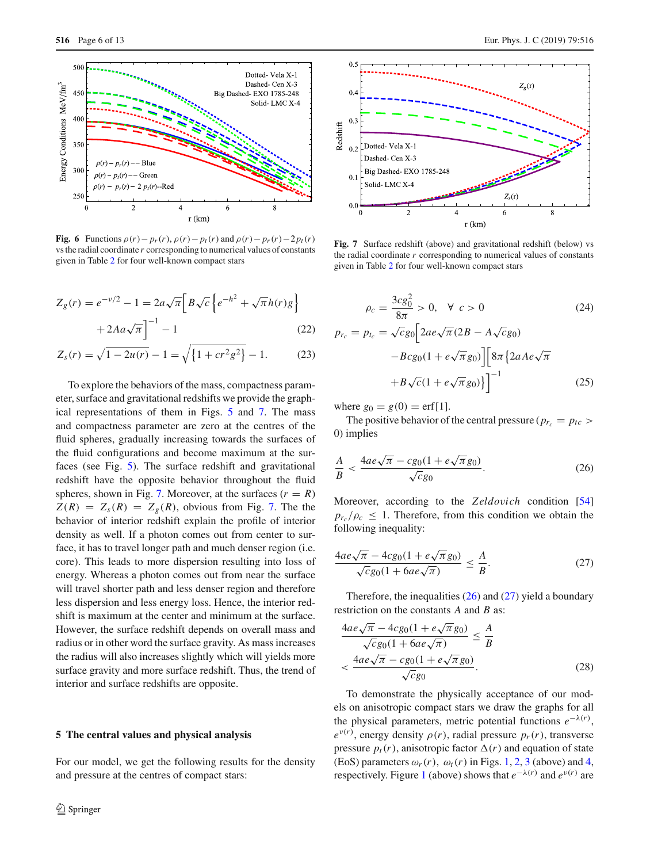

<span id="page-5-4"></span>**Fig. 6** Functions  $\rho(r) - p_r(r)$ ,  $\rho(r) - p_t(r)$  and  $\rho(r) - p_r(r) - 2p_t(r)$ vs the radial coordinate *r* corresponding to numerical values of constants given in Table [2](#page-10-0) for four well-known compact stars

$$
Z_g(r) = e^{-\nu/2} - 1 = 2a\sqrt{\pi} \Big[ B\sqrt{c} \left\{ e^{-h^2} + \sqrt{\pi} h(r)g \right\} + 2Aa\sqrt{\pi} \Big]^{-1} - 1
$$
 (22)

$$
Z_s(r) = \sqrt{1 - 2u(r)} - 1 = \sqrt{\left\{1 + cr^2 g^2\right\}} - 1.
$$
 (23)

To explore the behaviors of the mass, compactness parameter, surface and gravitational redshifts we provide the graphical representations of them in Figs. [5](#page-4-0) and [7.](#page-5-1) The mass and compactness parameter are zero at the centres of the fluid spheres, gradually increasing towards the surfaces of the fluid configurations and become maximum at the surfaces (see Fig. [5\)](#page-4-0). The surface redshift and gravitational redshift have the opposite behavior throughout the fluid spheres, shown in Fig. [7.](#page-5-1) Moreover, at the surfaces  $(r = R)$  $Z(R) = Z_s(R) = Z_g(R)$ , obvious from Fig. [7.](#page-5-1) The the behavior of interior redshift explain the profile of interior density as well. If a photon comes out from center to surface, it has to travel longer path and much denser region (i.e. core). This leads to more dispersion resulting into loss of energy. Whereas a photon comes out from near the surface will travel shorter path and less denser region and therefore less dispersion and less energy loss. Hence, the interior redshift is maximum at the center and minimum at the surface. However, the surface redshift depends on overall mass and radius or in other word the surface gravity. As mass increases the radius will also increases slightly which will yields more surface gravity and more surface redshift. Thus, the trend of interior and surface redshifts are opposite.

## <span id="page-5-0"></span>**5 The central values and physical analysis**

For our model, we get the following results for the density and pressure at the centres of compact stars:



<span id="page-5-1"></span>Fig. 7 Surface redshift (above) and gravitational redshift (below) vs the radial coordinate *r* corresponding to numerical values of constants given in Table [2](#page-10-0) for four well-known compact stars

$$
\rho_c = \frac{3cg_0^2}{8\pi} > 0, \quad \forall \ c > 0
$$
\n
$$
p_{r_c} = p_{t_c} = \sqrt{c}g_0 \Big[ 2ae\sqrt{\pi}(2B - A\sqrt{c}g_0) - Bcg_0(1 + e\sqrt{\pi}g_0) \Big] \Big[ 8\pi \Big\{ 2aAe\sqrt{\pi} + B\sqrt{c}(1 + e\sqrt{\pi}g_0) \Big\} \Big]^{-1}
$$
\n(25)

where  $g_0 = g(0) = erf[1]$ .

<span id="page-5-2"></span>The positive behavior of the central pressure ( $p_{r_c} = p_{tc} >$ 0) implies

$$
\frac{A}{B} < \frac{4ae\sqrt{\pi} - cg_0(1 + e\sqrt{\pi}g_0)}{\sqrt{cg_0}}.\tag{26}
$$

<span id="page-5-3"></span>Moreover, according to the *Zeldo*v*ich* condition [\[54\]](#page-12-38)  $p_{r_c}/\rho_c \leq 1$ . Therefore, from this condition we obtain the following inequality:

$$
\frac{4ae\sqrt{\pi} - 4cg_0(1 + e\sqrt{\pi}g_0)}{\sqrt{c}g_0(1 + 6ae\sqrt{\pi})} \le \frac{A}{B}.\tag{27}
$$

Therefore, the inequalities  $(26)$  and  $(27)$  yield a boundary restriction on the constants *A* and *B* as:

$$
\frac{4ae\sqrt{\pi} - 4cg_0(1 + e\sqrt{\pi}g_0)}{\sqrt{c}g_0(1 + 6ae\sqrt{\pi})} \le \frac{A}{B}
$$
  

$$
< \frac{4ae\sqrt{\pi} - cg_0(1 + e\sqrt{\pi}g_0)}{\sqrt{c}g_0}.
$$
 (28)

To demonstrate the physically acceptance of our models on anisotropic compact stars we draw the graphs for all the physical parameters, metric potential functions  $e^{-\lambda(r)}$ ,  $e^{v(r)}$ , energy density  $\rho(r)$ , radial pressure  $p_r(r)$ , transverse pressure  $p_t(r)$ , anisotropic factor  $\Delta(r)$  and equation of state (EoS) parameters  $\omega_r(r)$ ,  $\omega_t(r)$  in Figs. [1,](#page-1-2) [2,](#page-2-6) [3](#page-3-5) (above) and [4,](#page-3-6) respectively. Figure [1](#page-1-2) (above) shows that  $e^{-\lambda(r)}$  and  $e^{\nu(r)}$  are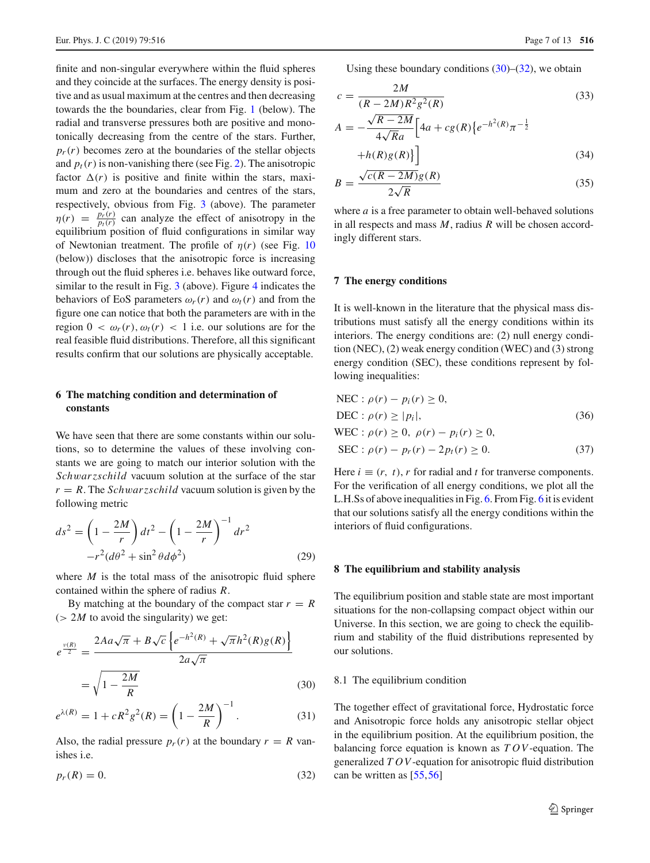finite and non-singular everywhere within the fluid spheres and they coincide at the surfaces. The energy density is positive and as usual maximum at the centres and then decreasing towards the the boundaries, clear from Fig. [1](#page-1-2) (below). The radial and transverse pressures both are positive and monotonically decreasing from the centre of the stars. Further,  $p_r(r)$  becomes zero at the boundaries of the stellar objects and  $p_t(r)$  is non-vanishing there (see Fig. [2\)](#page-2-6). The anisotropic factor  $\Delta(r)$  is positive and finite within the stars, maximum and zero at the boundaries and centres of the stars, respectively, obvious from Fig. [3](#page-3-5) (above). The parameter  $\eta(r) = \frac{p_r(r)}{p_t(r)}$  $\frac{p_r(r)}{p_t(r)}$  can analyze the effect of anisotropy in the equilibrium position of fluid configurations in similar way of Newtonian treatment. The profile of  $\eta(r)$  (see Fig. [10](#page-9-2)) (below)) discloses that the anisotropic force is increasing through out the fluid spheres i.e. behaves like outward force, similar to the result in Fig.  $3$  (above). Figure [4](#page-3-6) indicates the behaviors of EoS parameters  $\omega_r(r)$  and  $\omega_t(r)$  and from the figure one can notice that both the parameters are with in the region  $0 < \omega_r(r), \omega_t(r) < 1$  i.e. our solutions are for the real feasible fluid distributions. Therefore, all this significant results confirm that our solutions are physically acceptable.

# <span id="page-6-0"></span>**6 The matching condition and determination of constants**

We have seen that there are some constants within our solutions, so to determine the values of these involving constants we are going to match our interior solution with the *Sch*w*arzschild* vacuum solution at the surface of the star  $r = R$ . The *Schwarzschild* vacuum solution is given by the following metric

$$
ds^{2} = \left(1 - \frac{2M}{r}\right)dt^{2} - \left(1 - \frac{2M}{r}\right)^{-1}dr^{2}
$$

$$
-r^{2}(d\theta^{2} + \sin^{2}\theta d\phi^{2})
$$
(29)

where *M* is the total mass of the anisotropic fluid sphere contained within the sphere of radius *R*.

By matching at the boundary of the compact star  $r = R$  $(> 2M$  to avoid the singularity) we get:

<span id="page-6-4"></span>
$$
e^{\frac{v(R)}{2}} = \frac{2Aa\sqrt{\pi} + B\sqrt{c}\left\{e^{-h^2(R)} + \sqrt{\pi}h^2(R)g(R)\right\}}{2a\sqrt{\pi}}
$$

$$
= \sqrt{1 - \frac{2M}{R}}
$$
(30)

$$
e^{\lambda(R)} = 1 + cR^2g^2(R) = \left(1 - \frac{2M}{R}\right)^{-1}.
$$
 (31)

Also, the radial pressure  $p_r(r)$  at the boundary  $r = R$  vanishes i.e.

<span id="page-6-5"></span> $p_r(R) = 0.$  (32)

Using these boundary conditions  $(30)$ – $(32)$ , we obtain

$$
c = \frac{2M}{(R - 2M)R^2g^2(R)}
$$
(33)

$$
A = -\frac{\sqrt{R - 2M}}{4\sqrt{Ra}} \Big[ 4a + cg(R) \{ e^{-h^2(R)} \pi^{-\frac{1}{2}} + h(R)g(R) \} \Big]
$$
(34)

$$
B = \frac{\sqrt{c(R - 2M)}g(R)}{2\sqrt{R}}
$$
(35)

where *a* is a free parameter to obtain well-behaved solutions in all respects and mass *M*, radius *R* will be chosen accordingly different stars.

#### <span id="page-6-1"></span>**7 The energy conditions**

2*M*

It is well-known in the literature that the physical mass distributions must satisfy all the energy conditions within its interiors. The energy conditions are: (2) null energy condition (NEC), (2) weak energy condition (WEC) and (3) strong energy condition (SEC), these conditions represent by following inequalities:

<span id="page-6-6"></span>
$$
NEC: \rho(r) - p_i(r) \ge 0,
$$
  
DEC:  $\rho(r) \ge |p_i|,$   
WEC:  $\rho(r) \ge 0, \ \rho(r) - p_i(r) \ge 0,$  (36)

$$
SEC: \rho(r) - p_r(r) - 2p_t(r) \ge 0. \tag{37}
$$

Here  $i \equiv (r, t)$ , *r* for radial and *t* for tranverse components. For the verification of all energy conditions, we plot all the L.H.Ss of above inequalities in Fig. [6.](#page-5-4) From Fig. [6](#page-5-4) it is evident that our solutions satisfy all the energy conditions within the interiors of fluid configurations.

#### <span id="page-6-2"></span>**8 The equilibrium and stability analysis**

The equilibrium position and stable state are most important situations for the non-collapsing compact object within our Universe. In this section, we are going to check the equilibrium and stability of the fluid distributions represented by our solutions.

#### <span id="page-6-3"></span>8.1 The equilibrium condition

The together effect of gravitational force, Hydrostatic force and Anisotropic force holds any anisotropic stellar object in the equilibrium position. At the equilibrium position, the balancing force equation is known as *TOV*-equation. The generalized *TOV*-equation for anisotropic fluid distribution can be written as [\[55](#page-12-39)[,56](#page-12-40)]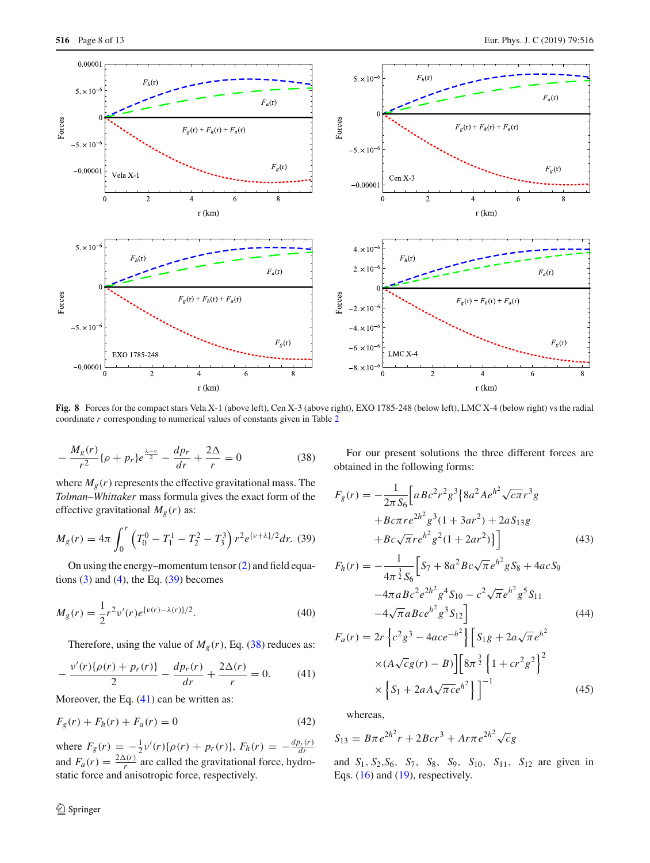

<span id="page-7-3"></span>**Fig. 8** Forces for the compact stars Vela X-1 (above left), Cen X-3 (above right), EXO 1785-248 (below left), LMC X-4 (below right) vs the radial coordinate *r* corresponding to numerical values of constants given in Table [2](#page-10-0)

<span id="page-7-1"></span>
$$
-\frac{M_g(r)}{r^2}\{\rho + p_r\}e^{\frac{\lambda - \nu}{2}} - \frac{dp_r}{dr} + \frac{2\Delta}{r} = 0
$$
 (38)

where  $M_g(r)$  represents the effective gravitational mass. The *Tolman*–*Whittaker* mass formula gives the exact form of the effective gravitational  $M_g(r)$  as:

<span id="page-7-0"></span>
$$
M_g(r) = 4\pi \int_0^r \left( T_0^0 - T_1^1 - T_2^2 - T_3^3 \right) r^2 e^{\left\{ v + \lambda \right\}/2} dr. (39)
$$

On using the energy–momentum tensor [\(2\)](#page-2-1) and field equations  $(3)$  and  $(4)$ , the Eq.  $(39)$  becomes

$$
M_g(r) = \frac{1}{2}r^2 \nu'(r)e^{\{\nu(r) - \lambda(r)\}/2}.
$$
 (40)

Therefore, using the value of  $M_g(r)$ , Eq. [\(38\)](#page-7-1) reduces as:

<span id="page-7-2"></span>
$$
-\frac{v'(r)\{\rho(r)+p_r(r)\}}{2} - \frac{dp_r(r)}{dr} + \frac{2\Delta(r)}{r} = 0.
$$
 (41)

Moreover, the Eq.  $(41)$  can be written as:

$$
F_g(r) + F_h(r) + F_a(r) = 0
$$
\n(42)

where  $F_g(r) = -\frac{1}{2}v'(r)\{\rho(r) + p_r(r)\}, F_h(r) = -\frac{dp_r(r)}{dr}$ and  $F_a(r) = \frac{2\Delta(r)}{r}$  are called the gravitational force, hydrostatic force and anisotropic force, respectively.

<sup>2</sup> Springer

For our present solutions the three different forces are obtained in the following forms:

$$
F_g(r) = -\frac{1}{2\pi S_6} \left[ aBc^2r^2g^3 \{8a^2Ae^{h^2}\sqrt{c\pi}r^3g
$$
  
+ $Bc\pi r e^{2h^2}g^3(1+3ar^2) + 2aS_{13}g$   
+ $Bc\sqrt{\pi}re^{h^2}g^2(1+2ar^2)\}$  (43)

$$
F_h(r) = -\frac{1}{4\pi^{\frac{3}{2}}S_6} \Big[ S_7 + 8a^2 B c \sqrt{\pi} e^{h^2} g S_8 + 4ac S_9
$$
  

$$
-4\pi a B c^2 e^{2h^2} g^4 S_{10} - c^2 \sqrt{\pi} e^{h^2} g^5 S_{11}
$$
  

$$
-4\sqrt{\pi} a B c e^{h^2} g^3 S_{12} \Big] \Big]
$$
(44)

$$
F_a(r) = 2r \left\{ c^2 g^3 - 4ace^{-h^2} \right\} \left[ S_1 g + 2a \sqrt{\pi} e^{h^2} \times (A \sqrt{c} g(r) - B) \right] \left[ 8\pi^{\frac{3}{2}} \left\{ 1 + cr^2 g^2 \right\}^2 \times \left\{ S_1 + 2aA \sqrt{\pi} c e^{h^2} \right\} \right]^{-1}
$$
(45)

whereas,

$$
S_{13} = B\pi e^{2h^2}r + 2Bcr^3 + A r \pi e^{2h^2} \sqrt{c}g
$$

and *S*1, *S*2,*S*6, *S*7, *S*8, *S*9, *S*10, *S*11, *S*<sup>12</sup> are given in Eqs. [\(16\)](#page-4-1) and [\(19\)](#page-4-2), respectively.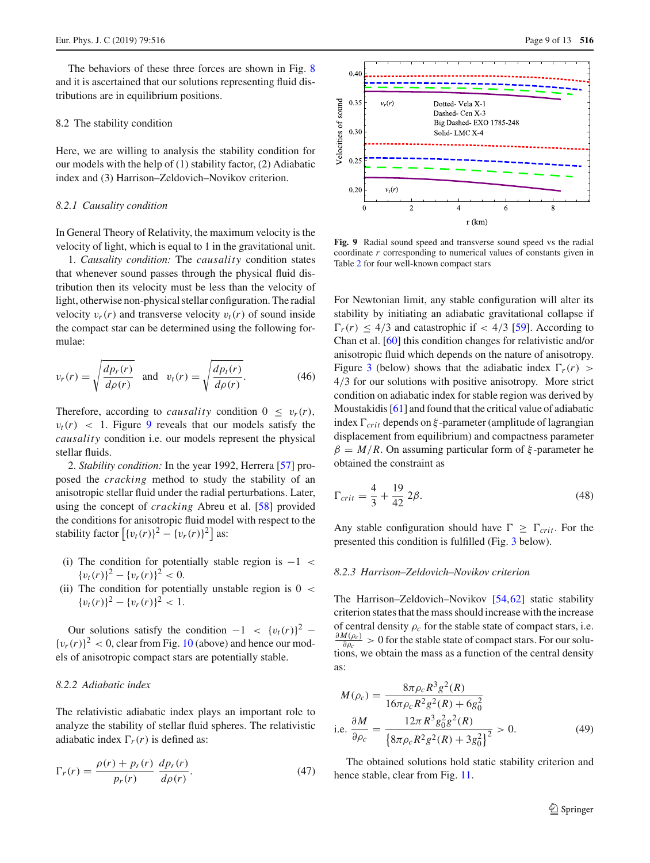The behaviors of these three forces are shown in Fig. [8](#page-7-3) and it is ascertained that our solutions representing fluid distributions are in equilibrium positions.

# <span id="page-8-0"></span>8.2 The stability condition

Here, we are willing to analysis the stability condition for our models with the help of (1) stability factor, (2) Adiabatic index and (3) Harrison–Zeldovich–Novikov criterion.

#### *8.2.1 Causality condition*

In General Theory of Relativity, the maximum velocity is the velocity of light, which is equal to 1 in the gravitational unit.

1. *Causality condition:* The *causality* condition states that whenever sound passes through the physical fluid distribution then its velocity must be less than the velocity of light, otherwise non-physical stellar configuration. The radial velocity  $v_r(r)$  and transverse velocity  $v_t(r)$  of sound inside the compact star can be determined using the following formulae:

$$
v_r(r) = \sqrt{\frac{dp_r(r)}{d\rho(r)}} \quad \text{and} \quad v_t(r) = \sqrt{\frac{dp_t(r)}{d\rho(r)}}.
$$
 (46)

Therefore, according to *causality* condition  $0 \leq v_r(r)$ ,  $v_t(r)$  < 1. Figure [9](#page-8-1) reveals that our models satisfy the *causality* condition i.e. our models represent the physical stellar fluids.

2. *Stability condition:* In the year 1992, Herrera [\[57\]](#page-12-41) proposed the *cracking* method to study the stability of an anisotropic stellar fluid under the radial perturbations. Later, using the concept of *cracking* Abreu et al. [\[58\]](#page-12-42) provided the conditions for anisotropic fluid model with respect to the stability factor  $\left[ \{v_t(r)\}^2 - \{v_r(r)\}^2 \right]$  as:

- (i) The condition for potentially stable region is  $-1$  <  ${v_t(r)}^2 - {v_r(r)}^2 < 0.$
- (ii) The condition for potentially unstable region is  $0 <$  ${v_t(r)}^2 - {v_r(r)}^2 < 1.$

Our solutions satisfy the condition  $-1 < \{v_t(r)\}^2$  –  $\{v_r(r)\}^2$  < 0, clear from Fig. [10](#page-9-2) (above) and hence our models of anisotropic compact stars are potentially stable.

## *8.2.2 Adiabatic index*

The relativistic adiabatic index plays an important role to analyze the stability of stellar fluid spheres. The relativistic adiabatic index  $\Gamma_r(r)$  is defined as:

$$
\Gamma_r(r) = \frac{\rho(r) + p_r(r)}{p_r(r)} \frac{dp_r(r)}{d\rho(r)}.\tag{47}
$$



<span id="page-8-1"></span>**Fig. 9** Radial sound speed and transverse sound speed vs the radial coordinate *r* corresponding to numerical values of constants given in Table [2](#page-10-0) for four well-known compact stars

For Newtonian limit, any stable configuration will alter its stability by initiating an adiabatic gravitational collapse if  $\Gamma_r(r)$  < 4/3 and catastrophic if < 4/3 [\[59](#page-12-43)]. According to Chan et al. [\[60](#page-12-44)] this condition changes for relativistic and/or anisotropic fluid which depends on the nature of anisotropy. Figure [3](#page-3-5) (below) shows that the adiabatic index  $\Gamma_r(r)$ 4/3 for our solutions with positive anisotropy. More strict condition on adiabatic index for stable region was derived by Moustakidis [\[61](#page-12-45)] and found that the critical value of adiabatic index  $\Gamma_{crit}$  depends on  $\xi$ -parameter (amplitude of lagrangian displacement from equilibrium) and compactness parameter  $\beta = M/R$ . On assuming particular form of  $\xi$ -parameter he obtained the constraint as

$$
\Gamma_{crit} = \frac{4}{3} + \frac{19}{42} \, 2\beta. \tag{48}
$$

Any stable configuration should have  $\Gamma \geq \Gamma_{crit}$ . For the presented this condition is fulfilled (Fig. [3](#page-3-5) below).

## *8.2.3 Harrison–Zeldovich–Novikov criterion*

The Harrison–Zeldovich–Novikov [\[54,](#page-12-38)[62\]](#page-12-46) static stability criterion states that the mass should increase with the increase of central density  $\rho_c$  for the stable state of compact stars, i.e.  $\partial M(\rho_c)$  $\frac{\partial q(\rho_c)}{\partial \rho_c} > 0$  for the stable state of compact stars. For our solutions, we obtain the mass as a function of the central density as:

$$
M(\rho_c) = \frac{8\pi \rho_c R^3 g^2(R)}{16\pi \rho_c R^2 g^2(R) + 6g_0^2}
$$
  
i.e. 
$$
\frac{\partial M}{\partial \rho_c} = \frac{12\pi R^3 g_0^2 g^2(R)}{\left\{8\pi \rho_c R^2 g^2(R) + 3g_0^2\right\}^2} > 0.
$$
 (49)

The obtained solutions hold static stability criterion and hence stable, clear from Fig. [11.](#page-9-3)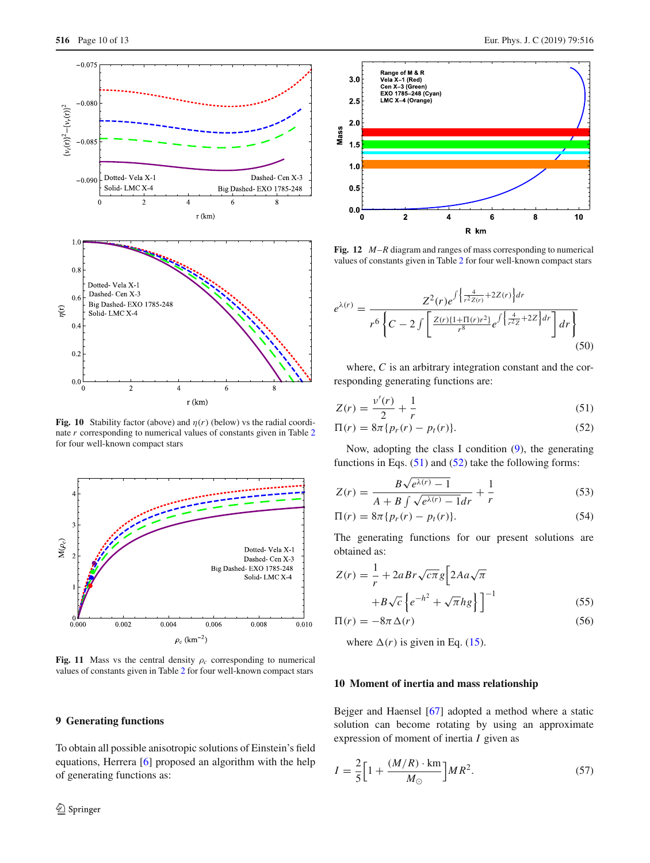

<span id="page-9-2"></span>**Fig. 10** Stability factor (above) and  $\eta(r)$  (below) vs the radial coordinate *r* corresponding to numerical values of constants given in Table [2](#page-10-0) for four well-known compact stars



<span id="page-9-3"></span>Fig. 11 Mass vs the central density  $\rho_c$  corresponding to numerical values of constants given in Table [2](#page-10-0) for four well-known compact stars

## <span id="page-9-0"></span>**9 Generating functions**

To obtain all possible anisotropic solutions of Einstein's field equations, Herrera [\[6](#page-12-5)] proposed an algorithm with the help of generating functions as:



<span id="page-9-5"></span>**Fig. 12** *M*–*R* diagram and ranges of mass corresponding to numerical values of constants given in Table [2](#page-10-0) for four well-known compact stars

$$
e^{\lambda(r)} = \frac{Z^2(r)e^{\int \left\{\frac{4}{r^2 Z(r)} + 2Z(r)\right\} dr}}{r^6 \left\{C - 2 \int \left[\frac{Z(r)\{1 + \Pi(r)r^2\}}{r^8} e^{\int \left\{\frac{4}{r^2 Z} + 2Z\right\} dr\right\} dr\right\}}
$$
(50)

where, *C* is an arbitrary integration constant and the corresponding generating functions are:

<span id="page-9-4"></span>
$$
Z(r) = \frac{v'(r)}{2} + \frac{1}{r}
$$
 (51)

$$
\Pi(r) = 8\pi \{p_r(r) - p_t(r)\}.
$$
\n(52)

Now, adopting the class I condition  $(9)$ , the generating functions in Eqs.  $(51)$  and  $(52)$  take the following forms:

$$
Z(r) = \frac{B\sqrt{e^{\lambda(r)} - 1}}{A + B\int \sqrt{e^{\lambda(r)} - 1}dr} + \frac{1}{r}
$$
 (53)

$$
\Pi(r) = 8\pi \{p_r(r) - p_t(r)\}.
$$
\n(54)

The generating functions for our present solutions are obtained as:

$$
Z(r) = \frac{1}{r} + 2aBr\sqrt{c\pi}g \left[2Aa\sqrt{\pi}\right] + B\sqrt{c}\left\{e^{-h^2} + \sqrt{\pi}hg\right\}\right]^{-1}
$$
(55)

$$
\Pi(r) = -8\pi \Delta(r) \tag{56}
$$

where  $\Delta(r)$  is given in Eq. [\(15\)](#page-4-3).

# <span id="page-9-1"></span>**10 Moment of inertia and mass relationship**

Bejger and Haensel [\[67](#page-12-47)] adopted a method where a static solution can become rotating by using an approximate expression of moment of inertia *I* given as

$$
I = \frac{2}{5} \Big[ 1 + \frac{(M/R) \cdot \text{km}}{M_{\odot}} \Big] M R^2.
$$
 (57)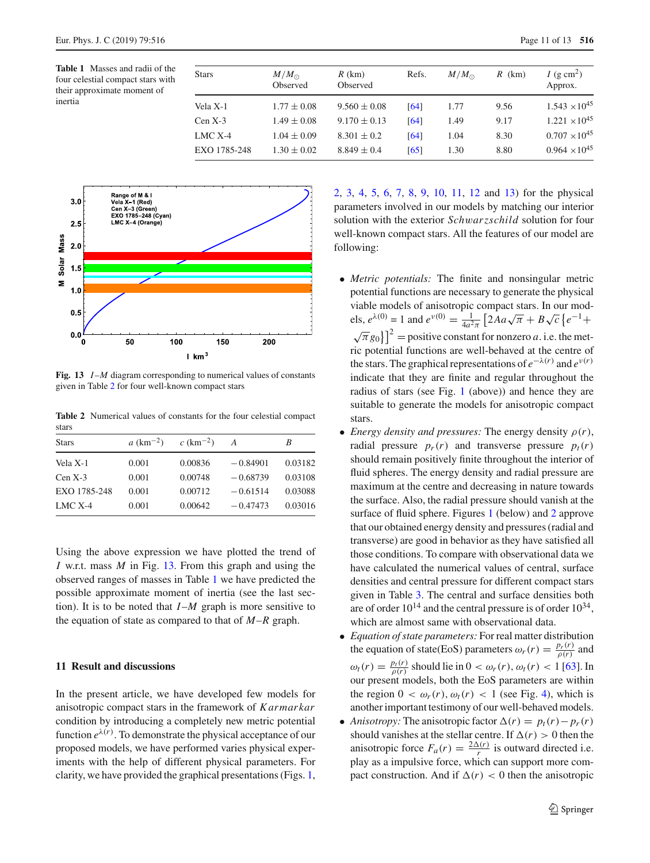<span id="page-10-3"></span>**Table 1** Masses and radii of the four celestial compact stars with their approximate moment of inertia

| <b>Stars</b> | $M/M_{\odot}$<br>Observed | $R$ (km)<br>Observed | Refs. | $M/M_{\odot}$ | $R$ (km) | I (g cm <sup>2</sup> )<br>Approx. |
|--------------|---------------------------|----------------------|-------|---------------|----------|-----------------------------------|
| Vela X-1     | $1.77 \pm 0.08$           | $9.560 \pm 0.08$     | [64]  | 1.77          | 9.56     | $1.543 \times 10^{45}$            |
| $Cen X-3$    | $1.49 \pm 0.08$           | $9.170 \pm 0.13$     | [64]  | 1.49          | 9.17     | $1.221 \times 10^{45}$            |
| LMC $X-4$    | $1.04 \pm 0.09$           | $8.301 \pm 0.2$      | [64]  | 1.04          | 8.30     | $0.707 \times 10^{45}$            |
| EXQ 1785-248 | $1.30 \pm 0.02$           | $8.849 \pm 0.4$      | [65]  | 1.30          | 8.80     | $0.964 \times 10^{45}$            |



<span id="page-10-2"></span>Fig. 13 *I-M* diagram corresponding to numerical values of constants given in Table [2](#page-10-0) for four well-known compact stars

<span id="page-10-0"></span>**Table 2** Numerical values of constants for the four celestial compact stars

| <b>Stars</b> | $a \, (\text{km}^{-2})$ | $c$ (km <sup>-2</sup> ) | A          | B       |
|--------------|-------------------------|-------------------------|------------|---------|
| Vela X-1     | 0.001                   | 0.00836                 | $-0.84901$ | 0.03182 |
| $Cen X-3$    | 0.001                   | 0.00748                 | $-0.68739$ | 0.03108 |
| EXO 1785-248 | 0.001                   | 0.00712                 | $-0.61514$ | 0.03088 |
| $LMC X-4$    | 0.001                   | 0.00642                 | $-0.47473$ | 0.03016 |

Using the above expression we have plotted the trend of *I* w.r.t. mass *M* in Fig. [13.](#page-10-2) From this graph and using the observed ranges of masses in Table [1](#page-10-3) we have predicted the possible approximate moment of inertia (see the last section). It is to be noted that  $I-M$  graph is more sensitive to the equation of state as compared to that of *M*–*R* graph.

## <span id="page-10-1"></span>**11 Result and discussions**

In the present article, we have developed few models for anisotropic compact stars in the framework of *Karmarkar* condition by introducing a completely new metric potential function  $e^{\lambda(r)}$ . To demonstrate the physical acceptance of our proposed models, we have performed varies physical experiments with the help of different physical parameters. For clarity, we have provided the graphical presentations (Figs. [1,](#page-1-2) [2,](#page-2-6) [3,](#page-3-5) [4,](#page-3-6) [5,](#page-4-0) [6,](#page-5-4) [7,](#page-5-1) [8,](#page-7-3) [9,](#page-8-1) [10,](#page-9-2) [11,](#page-9-3) [12](#page-9-5) and [13\)](#page-10-2) for the physical parameters involved in our models by matching our interior solution with the exterior *Sch*w*arzschild* solution for four well-known compact stars. All the features of our model are following:

- *Metric potentials:* The finite and nonsingular metric potential functions are necessary to generate the physical viable models of anisotropic compact stars. In our models,  $e^{\lambda(0)} = 1$  and  $e^{\nu(0)} = \frac{1}{4a^2}$  $\frac{1}{4a^2\pi} \left[ 2Aa\sqrt{\pi} + B\sqrt{c} \left\{ e^{-1} + \right\} \right]$  $\left[\sqrt{\pi}g_0\right]$ <sup>2</sup> = positive constant for nonzero *a*. i.e. the metric potential functions are well-behaved at the centre of the stars. The graphical representations of  $e^{-\lambda(r)}$  and  $e^{\nu(r)}$ indicate that they are finite and regular throughout the radius of stars (see Fig. [1](#page-1-2) (above)) and hence they are suitable to generate the models for anisotropic compact stars.
- *Energy density and pressures:* The energy density  $\rho(r)$ , radial pressure  $p_r(r)$  and transverse pressure  $p_t(r)$ should remain positively finite throughout the interior of fluid spheres. The energy density and radial pressure are maximum at the centre and decreasing in nature towards the surface. Also, the radial pressure should vanish at the surface of fluid sphere. Figures [1](#page-1-2) (below) and [2](#page-2-6) approve that our obtained energy density and pressures (radial and transverse) are good in behavior as they have satisfied all those conditions. To compare with observational data we have calculated the numerical values of central, surface densities and central pressure for different compact stars given in Table [3.](#page-11-0) The central and surface densities both are of order  $10^{14}$  and the central pressure is of order  $10^{34}$ , which are almost same with observational data.
- *Equation of state parameters:* For real matter distribution the equation of state(EoS) parameters  $\omega_r(r) = \frac{p_r(r)}{\rho(r)}$  and  $\omega_t(r) = \frac{p_t(r)}{\rho(r)}$  should lie in  $0 < \omega_r(r)$ ,  $\omega_t(r) < 1$  [\[63](#page-12-50)]. In our present models, both the EoS parameters are within the region  $0 < \omega_r(r)$ ,  $\omega_t(r) < 1$  (see Fig. [4\)](#page-3-6), which is another important testimony of our well-behaved models.
- *Anisotropy:* The anisotropic factor  $\Delta(r) = p_t(r) p_r(r)$ should vanishes at the stellar centre. If  $\Delta(r) > 0$  then the anisotropic force  $F_a(r) = \frac{2\Delta(r)}{r}$  is outward directed i.e. play as a impulsive force, which can support more compact construction. And if  $\Delta(r) < 0$  then the anisotropic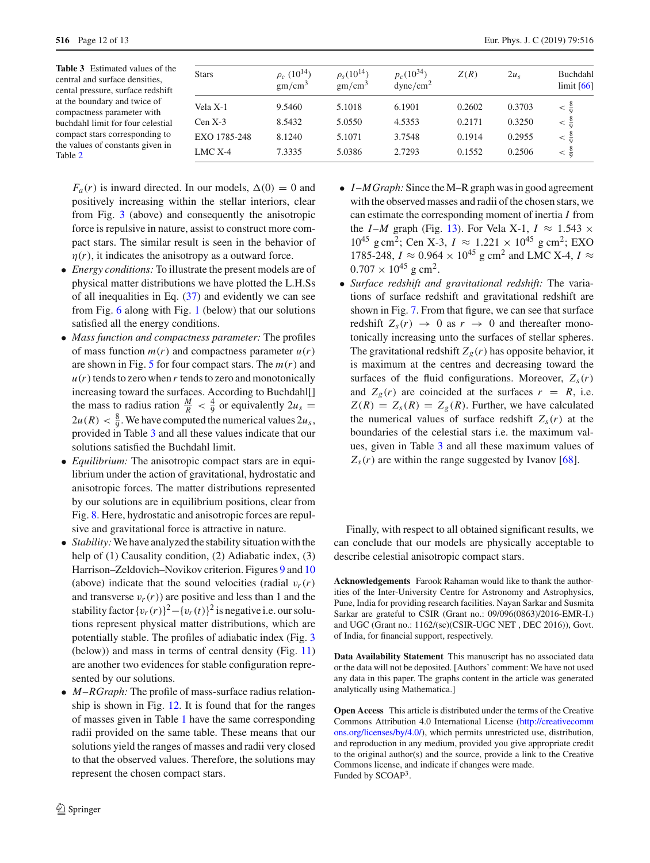<span id="page-11-0"></span>**Table 3** Estimated values of the central and surface densities, cental pressure, surface redshift at the boundary and twice of compactness parameter with buchdahl limit for four celestial compact stars corresponding to the values of constants given in Table [2](#page-10-0)

| <b>Stars</b> | $\rho_c$ (10 <sup>14</sup> )<br>gm/cm <sup>3</sup> | $\rho_s(10^{14})$<br>gm/cm <sup>3</sup> | $p_c(10^{34})$<br>dyne/cm <sup>2</sup> | Z(R)   | 2u <sub>s</sub> | Buchdahl<br>$\lim$ it [66] |
|--------------|----------------------------------------------------|-----------------------------------------|----------------------------------------|--------|-----------------|----------------------------|
| Vela X-1     | 9.5460                                             | 5.1018                                  | 6.1901                                 | 0.2602 | 0.3703          | $< \frac{8}{9}$            |
| Cen X-3      | 8.5432                                             | 5.0550                                  | 4.5353                                 | 0.2171 | 0.3250          | $<\frac{8}{9}$             |
| EXO 1785-248 | 8.1240                                             | 5.1071                                  | 3.7548                                 | 0.1914 | 0.2955          | $< \frac{8}{9}$            |
| LMC X-4      | 7.3335                                             | 5.0386                                  | 2.7293                                 | 0.1552 | 0.2506          | $< \frac{8}{9}$            |

 $F_a(r)$  is inward directed. In our models,  $\Delta(0) = 0$  and positively increasing within the stellar interiors, clear from Fig. [3](#page-3-5) (above) and consequently the anisotropic force is repulsive in nature, assist to construct more compact stars. The similar result is seen in the behavior of  $\eta(r)$ , it indicates the anisotropy as a outward force.

- *Energy conditions:* To illustrate the present models are of physical matter distributions we have plotted the L.H.Ss of all inequalities in Eq. [\(37\)](#page-6-6) and evidently we can see from Fig. [6](#page-5-4) along with Fig. [1](#page-1-2) (below) that our solutions satisfied all the energy conditions.
- *Mass function and compactness parameter:* The profiles of mass function  $m(r)$  and compactness parameter  $u(r)$ are shown in Fig. [5](#page-4-0) for four compact stars. The *m*(*r*) and  $u(r)$  tends to zero when *r* tends to zero and monotonically increasing toward the surfaces. According to Buchdahl[] the mass to radius ration  $\frac{M}{R} < \frac{4}{9}$  or equivalently  $2u_s =$  $2u(R) < \frac{8}{9}$ . We have computed the numerical values  $2u_s$ , provided in Table [3](#page-11-0) and all these values indicate that our solutions satisfied the Buchdahl limit.
- *Equilibrium:* The anisotropic compact stars are in equilibrium under the action of gravitational, hydrostatic and anisotropic forces. The matter distributions represented by our solutions are in equilibrium positions, clear from Fig. [8.](#page-7-3) Here, hydrostatic and anisotropic forces are repulsive and gravitational force is attractive in nature.
- *Stability:*We have analyzed the stability situation with the help of (1) Causality condition, (2) Adiabatic index, (3) Harrison–Zeldovich–Novikov criterion. Figures [9](#page-8-1) and [10](#page-9-2) (above) indicate that the sound velocities (radial  $v_r(r)$ ) and transverse  $v_r(r)$  are positive and less than 1 and the stability factor  $\{v_r(r)\}^2 - \{v_r(t)\}^2$  is negative i.e. our solutions represent physical matter distributions, which are potentially stable. The profiles of adiabatic index (Fig. [3](#page-3-5) (below)) and mass in terms of central density (Fig. [11\)](#page-9-3) are another two evidences for stable configuration represented by our solutions.
- *M*–*RGraph:* The profile of mass-surface radius relationship is shown in Fig. [12.](#page-9-5) It is found that for the ranges of masses given in Table [1](#page-10-3) have the same corresponding radii provided on the same table. These means that our solutions yield the ranges of masses and radii very closed to that the observed values. Therefore, the solutions may represent the chosen compact stars.
- *I* –*MGraph:* Since the M–R graph was in good agreement with the observed masses and radii of the chosen stars, we can estimate the corresponding moment of inertia *I* from the *I*-*M* graph (Fig. [13\)](#page-10-2). For Vela X-1,  $I \approx 1.543 \times$  $10^{45}$  g cm<sup>2</sup>; Cen X-3,  $I \approx 1.221 \times 10^{45}$  g cm<sup>2</sup>; EXO 1785-248, *I* ≈ 0.964 × 10<sup>45</sup> g cm<sup>2</sup> and LMC X-4, *I* ≈  $0.707 \times 10^{45}$  g cm<sup>2</sup>.
- *Surface redshift and gravitational redshift:* The variations of surface redshift and gravitational redshift are shown in Fig. [7.](#page-5-1) From that figure, we can see that surface redshift  $Z_s(r) \rightarrow 0$  as  $r \rightarrow 0$  and thereafter monotonically increasing unto the surfaces of stellar spheres. The gravitational redshift  $Z_g(r)$  has opposite behavior, it is maximum at the centres and decreasing toward the surfaces of the fluid configurations. Moreover,  $Z_s(r)$ and  $Z_g(r)$  are coincided at the surfaces  $r = R$ , i.e.  $Z(R) = Z_s(R) = Z_g(R)$ . Further, we have calculated the numerical values of surface redshift  $Z_s(r)$  at the boundaries of the celestial stars i.e. the maximum values, given in Table [3](#page-11-0) and all these maximum values of  $Z_s(r)$  are within the range suggested by Ivanov [\[68\]](#page-12-52).

Finally, with respect to all obtained significant results, we can conclude that our models are physically acceptable to describe celestial anisotropic compact stars.

**Acknowledgements** Farook Rahaman would like to thank the authorities of the Inter-University Centre for Astronomy and Astrophysics, Pune, India for providing research facilities. Nayan Sarkar and Susmita Sarkar are grateful to CSIR (Grant no.: 09/096(0863)/2016-EMR-I.) and UGC (Grant no.: 1162/(sc)(CSIR-UGC NET , DEC 2016)), Govt. of India, for financial support, respectively.

**Data Availability Statement** This manuscript has no associated data or the data will not be deposited. [Authors' comment: We have not used any data in this paper. The graphs content in the article was generated analytically using Mathematica.]

**Open Access** This article is distributed under the terms of the Creative Commons Attribution 4.0 International License [\(http://creativecomm](http://creativecommons.org/licenses/by/4.0/) [ons.org/licenses/by/4.0/\)](http://creativecommons.org/licenses/by/4.0/), which permits unrestricted use, distribution, and reproduction in any medium, provided you give appropriate credit to the original author(s) and the source, provide a link to the Creative Commons license, and indicate if changes were made. Funded by SCOAP<sup>3</sup>.